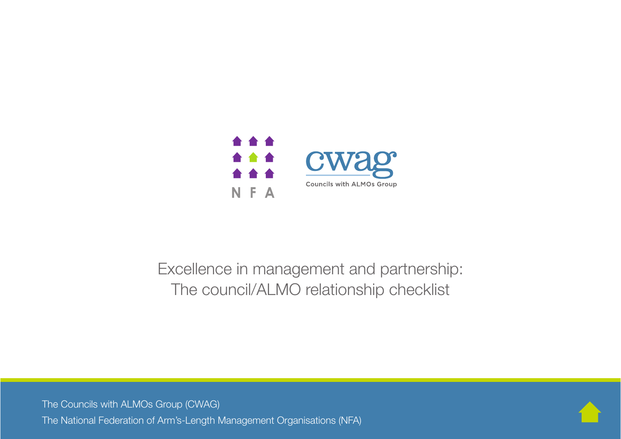

## Excellence in management and partnership: The council/ALMO relationship checklist

The Councils with ALMOs Group (CWAG) The National Federation of Arm's-Length Management Organisations (NFA)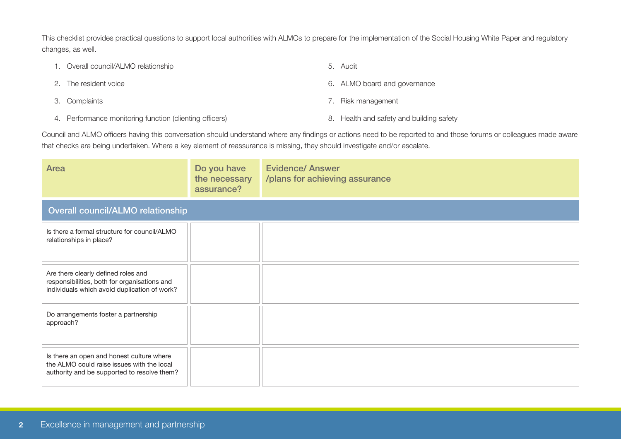This checklist provides practical questions to support local authorities with ALMOs to prepare for the implementation of the Social Housing White Paper and regulatory changes, as well.

| 1. Overall council/ALMO relationship                    | 5. Audit                                 |
|---------------------------------------------------------|------------------------------------------|
| 2. The resident voice                                   | 6. ALMO board and governance             |
| 3. Complaints                                           | 7. Risk management                       |
| 4. Performance monitoring function (clienting officers) | 8. Health and safety and building safety |

Council and ALMO officers having this conversation should understand where any findings or actions need to be reported to and those forums or colleagues made aware that checks are being undertaken. Where a key element of reassurance is missing, they should investigate and/or escalate.

| Area                                                                                                                                   | Do you have<br>the necessary<br>assurance? | <b>Evidence/ Answer</b><br>/plans for achieving assurance |  |  |
|----------------------------------------------------------------------------------------------------------------------------------------|--------------------------------------------|-----------------------------------------------------------|--|--|
| Overall council/ALMO relationship                                                                                                      |                                            |                                                           |  |  |
| Is there a formal structure for council/ALMO<br>relationships in place?                                                                |                                            |                                                           |  |  |
| Are there clearly defined roles and<br>responsibilities, both for organisations and<br>individuals which avoid duplication of work?    |                                            |                                                           |  |  |
| Do arrangements foster a partnership<br>approach?                                                                                      |                                            |                                                           |  |  |
| Is there an open and honest culture where<br>the ALMO could raise issues with the local<br>authority and be supported to resolve them? |                                            |                                                           |  |  |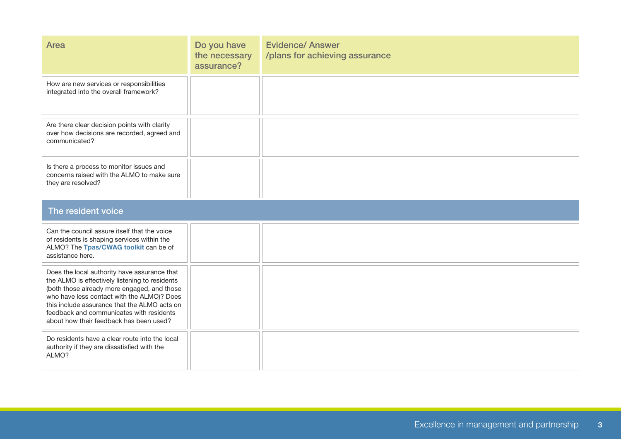| Area                                                                                                                                                                                                                                                                                                                               | Do you have<br>the necessary<br>assurance? | <b>Evidence/ Answer</b><br>/plans for achieving assurance |  |  |
|------------------------------------------------------------------------------------------------------------------------------------------------------------------------------------------------------------------------------------------------------------------------------------------------------------------------------------|--------------------------------------------|-----------------------------------------------------------|--|--|
| How are new services or responsibilities<br>integrated into the overall framework?                                                                                                                                                                                                                                                 |                                            |                                                           |  |  |
| Are there clear decision points with clarity<br>over how decisions are recorded, agreed and<br>communicated?                                                                                                                                                                                                                       |                                            |                                                           |  |  |
| Is there a process to monitor issues and<br>concerns raised with the ALMO to make sure<br>they are resolved?                                                                                                                                                                                                                       |                                            |                                                           |  |  |
| The resident voice                                                                                                                                                                                                                                                                                                                 |                                            |                                                           |  |  |
| Can the council assure itself that the voice<br>of residents is shaping services within the<br>ALMO? The Tpas/CWAG toolkit can be of<br>assistance here.                                                                                                                                                                           |                                            |                                                           |  |  |
| Does the local authority have assurance that<br>the ALMO is effectively listening to residents<br>(both those already more engaged, and those<br>who have less contact with the ALMO)? Does<br>this include assurance that the ALMO acts on<br>feedback and communicates with residents<br>about how their feedback has been used? |                                            |                                                           |  |  |
| Do residents have a clear route into the local<br>authority if they are dissatisfied with the<br>ALMO?                                                                                                                                                                                                                             |                                            |                                                           |  |  |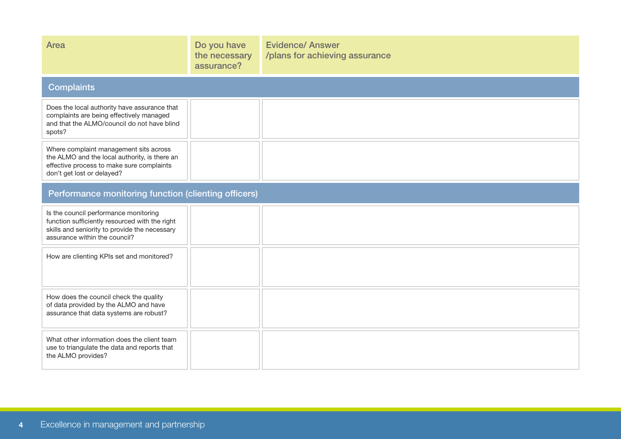| <b>Area</b>                                                                                                                                                               | Do you have<br>the necessary<br>assurance? | <b>Evidence/ Answer</b><br>/plans for achieving assurance |  |
|---------------------------------------------------------------------------------------------------------------------------------------------------------------------------|--------------------------------------------|-----------------------------------------------------------|--|
| <b>Complaints</b>                                                                                                                                                         |                                            |                                                           |  |
| Does the local authority have assurance that<br>complaints are being effectively managed<br>and that the ALMO/council do not have blind<br>spots?                         |                                            |                                                           |  |
| Where complaint management sits across<br>the ALMO and the local authority, is there an<br>effective process to make sure complaints<br>don't get lost or delayed?        |                                            |                                                           |  |
| Performance monitoring function (clienting officers)                                                                                                                      |                                            |                                                           |  |
| Is the council performance monitoring<br>function sufficiently resourced with the right<br>skills and seniority to provide the necessary<br>assurance within the council? |                                            |                                                           |  |
| How are clienting KPIs set and monitored?                                                                                                                                 |                                            |                                                           |  |
| How does the council check the quality<br>of data provided by the ALMO and have<br>assurance that data systems are robust?                                                |                                            |                                                           |  |
| What other information does the client team<br>use to triangulate the data and reports that<br>the ALMO provides?                                                         |                                            |                                                           |  |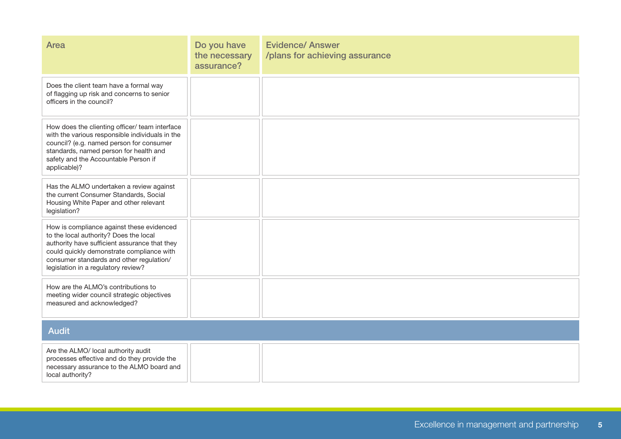| Area                                                                                                                                                                                                                                                                 | Do you have<br>the necessary<br>assurance? | <b>Evidence/ Answer</b><br>/plans for achieving assurance |  |
|----------------------------------------------------------------------------------------------------------------------------------------------------------------------------------------------------------------------------------------------------------------------|--------------------------------------------|-----------------------------------------------------------|--|
| Does the client team have a formal way<br>of flagging up risk and concerns to senior<br>officers in the council?                                                                                                                                                     |                                            |                                                           |  |
| How does the clienting officer/ team interface<br>with the various responsible individuals in the<br>council? (e.g. named person for consumer<br>standards, named person for health and<br>safety and the Accountable Person if<br>applicable)?                      |                                            |                                                           |  |
| Has the ALMO undertaken a review against<br>the current Consumer Standards, Social<br>Housing White Paper and other relevant<br>legislation?                                                                                                                         |                                            |                                                           |  |
| How is compliance against these evidenced<br>to the local authority? Does the local<br>authority have sufficient assurance that they<br>could quickly demonstrate compliance with<br>consumer standards and other regulation/<br>legislation in a regulatory review? |                                            |                                                           |  |
| How are the ALMO's contributions to<br>meeting wider council strategic objectives<br>measured and acknowledged?                                                                                                                                                      |                                            |                                                           |  |
| <b>Audit</b>                                                                                                                                                                                                                                                         |                                            |                                                           |  |
| Are the ALMO/ local authority audit<br>processes effective and do they provide the<br>necessary assurance to the ALMO board and<br>local authority?                                                                                                                  |                                            |                                                           |  |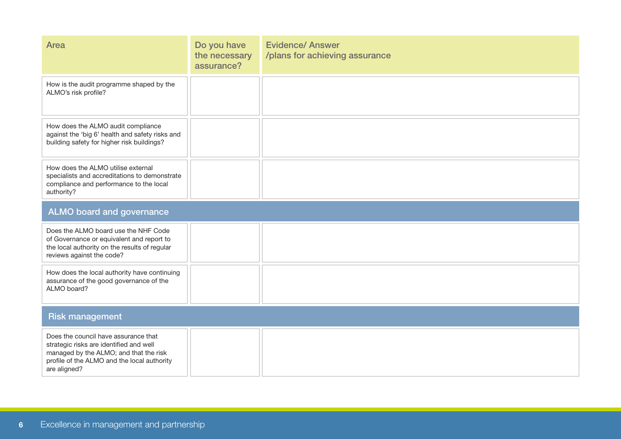| <b>Area</b>                                                                                                                                                                              | Do you have<br>the necessary<br>assurance? | <b>Evidence/ Answer</b><br>/plans for achieving assurance |  |
|------------------------------------------------------------------------------------------------------------------------------------------------------------------------------------------|--------------------------------------------|-----------------------------------------------------------|--|
| How is the audit programme shaped by the<br>ALMO's risk profile?                                                                                                                         |                                            |                                                           |  |
| How does the ALMO audit compliance<br>against the 'big 6' health and safety risks and<br>building safety for higher risk buildings?                                                      |                                            |                                                           |  |
| How does the ALMO utilise external<br>specialists and accreditations to demonstrate<br>compliance and performance to the local<br>authority?                                             |                                            |                                                           |  |
| <b>ALMO board and governance</b>                                                                                                                                                         |                                            |                                                           |  |
| Does the ALMO board use the NHF Code<br>of Governance or equivalent and report to<br>the local authority on the results of regular<br>reviews against the code?                          |                                            |                                                           |  |
| How does the local authority have continuing<br>assurance of the good governance of the<br>ALMO board?                                                                                   |                                            |                                                           |  |
| <b>Risk management</b>                                                                                                                                                                   |                                            |                                                           |  |
| Does the council have assurance that<br>strategic risks are identified and well<br>managed by the ALMO; and that the risk<br>profile of the ALMO and the local authority<br>are aligned? |                                            |                                                           |  |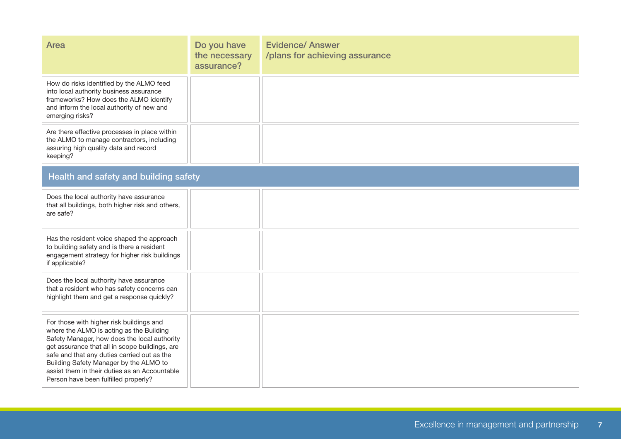| Area                                                                                                                                                                                                                                                                                                                                                                     | Do you have<br>the necessary<br>assurance? | <b>Evidence/ Answer</b><br>/plans for achieving assurance |  |
|--------------------------------------------------------------------------------------------------------------------------------------------------------------------------------------------------------------------------------------------------------------------------------------------------------------------------------------------------------------------------|--------------------------------------------|-----------------------------------------------------------|--|
| How do risks identified by the ALMO feed<br>into local authority business assurance<br>frameworks? How does the ALMO identify<br>and inform the local authority of new and<br>emerging risks?                                                                                                                                                                            |                                            |                                                           |  |
| Are there effective processes in place within<br>the ALMO to manage contractors, including<br>assuring high quality data and record<br>keeping?                                                                                                                                                                                                                          |                                            |                                                           |  |
| Health and safety and building safety                                                                                                                                                                                                                                                                                                                                    |                                            |                                                           |  |
| Does the local authority have assurance<br>that all buildings, both higher risk and others,<br>are safe?                                                                                                                                                                                                                                                                 |                                            |                                                           |  |
| Has the resident voice shaped the approach<br>to building safety and is there a resident<br>engagement strategy for higher risk buildings<br>if applicable?                                                                                                                                                                                                              |                                            |                                                           |  |
| Does the local authority have assurance<br>that a resident who has safety concerns can<br>highlight them and get a response quickly?                                                                                                                                                                                                                                     |                                            |                                                           |  |
| For those with higher risk buildings and<br>where the ALMO is acting as the Building<br>Safety Manager, how does the local authority<br>get assurance that all in scope buildings, are<br>safe and that any duties carried out as the<br>Building Safety Manager by the ALMO to<br>assist them in their duties as an Accountable<br>Person have been fulfilled properly? |                                            |                                                           |  |